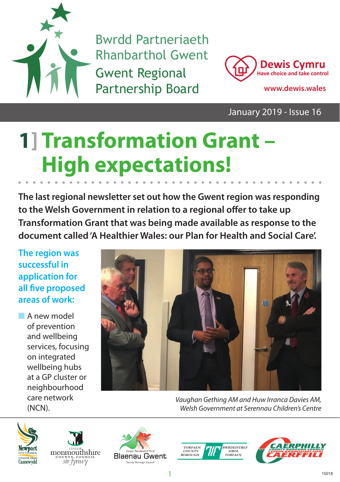

Bwrdd Partneriaeth Rhanbarthol Gwent Gwent Regional Partnership Board **www.dewis.wales**



January 2019 - Issue 16

# **1] Transformation Grant – High expectations!**

**The last regional newsletter set out how the Gwent region was responding**  to the Welsh Government in relation to a regional offer to take up **Transformation Grant that was being made available as response to the document called 'A Healthier Wales: our Plan for Health and Social Care'.**

**The region was successful in application for all five proposed areas of work:** 

A new model of prevention and wellbeing services, focusing on integrated wellbeing hubs at a GP cluster or neighbourhood care network (NCN).



*Vaughan Gething AM and Huw Irranca Davies AM, Welsh Government at Serennau Children's Centre*









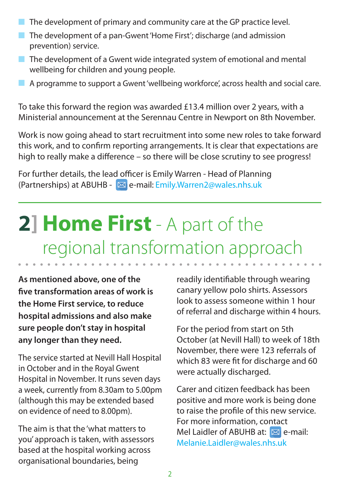- $\blacksquare$  The development of primary and community care at the GP practice level.
- n The development of a pan-Gwent 'Home First': discharge (and admission prevention) service.
- $\blacksquare$  The development of a Gwent wide integrated system of emotional and mental wellbeing for children and young people.
- n A programme to support a Gwent 'wellbeing workforce', across health and social care.

To take this forward the region was awarded £13.4 million over 2 years, with a Ministerial announcement at the Serennau Centre in Newport on 8th November.

Work is now going ahead to start recruitment into some new roles to take forward this work, and to confirm reporting arrangements. It is clear that expectations are high to really make a difference – so there will be close scrutiny to see progress!

For further details, the lead officer is Emily Warren - Head of Planning (Partnerships) at ABUHB -  $\boxtimes$  e-mail: Emily.Warren2@wales.nhs.uk

### **2] Home First** - A part of the regional transformation approach

**As mentioned above, one of the**  five transformation areas of work is **the Home First service, to reduce hospital admissions and also make sure people don't stay in hospital any longer than they need.** 

The service started at Nevill Hall Hospital in October and in the Royal Gwent Hospital in November. It runs seven days a week, currently from 8.30am to 5.00pm (although this may be extended based on evidence of need to 8.00pm).

The aim is that the 'what matters to you' approach is taken, with assessors based at the hospital working across organisational boundaries, being

readily identifiable through wearing canary yellow polo shirts. Assessors look to assess someone within 1 hour of referral and discharge within 4 hours.

For the period from start on 5th October (at Nevill Hall) to week of 18th November, there were 123 referrals of which 83 were fit for discharge and 60 were actually discharged.

Carer and citizen feedback has been positive and more work is being done to raise the profile of this new service. For more information, contact Mel Laidler of ABUHB at:  $\boxtimes$  e-mail: Melanie.Laidler@wales.nhs.uk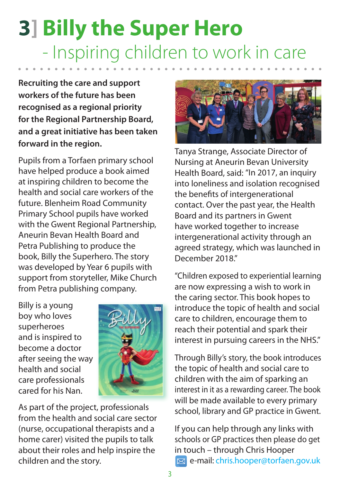## **3] Billy the Super Hero** - Inspiring children to work in care

**Recruiting the care and support workers of the future has been recognised as a regional priority for the Regional Partnership Board, and a great initiative has been taken forward in the region.**

Pupils from a Torfaen primary school have helped produce a book aimed at inspiring children to become the health and social care workers of the future. Blenheim Road Community Primary School pupils have worked with the Gwent Regional Partnership, Aneurin Bevan Health Board and Petra Publishing to produce the book, Billy the Superhero. The story was developed by Year 6 pupils with support from storyteller, Mike Church from Petra publishing company.

Billy is a young boy who loves superheroes and is inspired to become a doctor after seeing the way health and social care professionals cared for his Nan.



As part of the project, professionals from the health and social care sector (nurse, occupational therapists and a home carer) visited the pupils to talk about their roles and help inspire the children and the story.



Tanya Strange, Associate Director of Nursing at Aneurin Bevan University Health Board, said: "In 2017, an inquiry into loneliness and isolation recognised the benefits of intergenerational contact. Over the past year, the Health Board and its partners in Gwent have worked together to increase intergenerational activity through an agreed strategy, which was launched in December 2018."

"Children exposed to experiential learning are now expressing a wish to work in the caring sector. This book hopes to introduce the topic of health and social care to children, encourage them to reach their potential and spark their interest in pursuing careers in the NHS."

Through Billy's story, the book introduces the topic of health and social care to children with the aim of sparking an interest in it as a rewarding career. The book will be made available to every primary school, library and GP practice in Gwent.

If you can help through any links with schools or GP practices then please do get in touch – through Chris Hooper **E** e-mail: chris.hooper@torfaen.gov.uk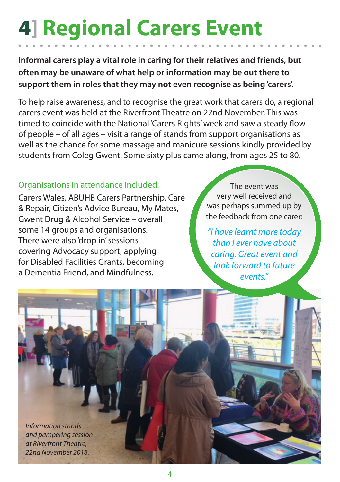## **4] Regional Carers Event**

**Informal carers play a vital role in caring for their relatives and friends, but often may be unaware of what help or information may be out there to support them in roles that they may not even recognise as being 'carers'.** 

To help raise awareness, and to recognise the great work that carers do, a regional carers event was held at the Riverfront Theatre on 22nd November. This was timed to coincide with the National 'Carers Rights' week and saw a steady flow of people – of all ages – visit a range of stands from support organisations as well as the chance for some massage and manicure sessions kindly provided by students from Coleg Gwent. Some sixty plus came along, from ages 25 to 80.

#### Organisations in attendance included:

Carers Wales, ABUHB Carers Partnership, Care & Repair, Citizen's Advice Bureau, My Mates, Gwent Drug & Alcohol Service – overall some 14 groups and organisations. There were also 'drop in' sessions covering Advocacy support, applying for Disabled Facilities Grants, becoming a Dementia Friend, and Mindfulness.

The event was very well received and was perhaps summed up by the feedback from one carer:

*"I have learnt more today than I ever have about caring. Great event and look forward to future events."*

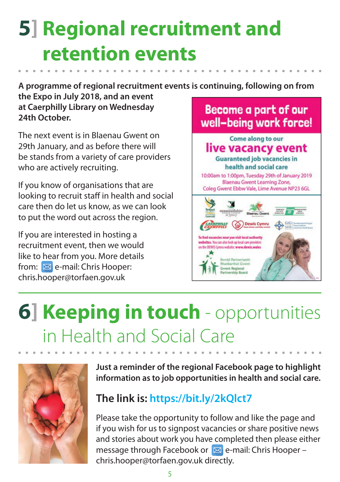### **5] Regional recruitment and retention events**

**A programme of regional recruitment events is continuing, following on from** 

**the Expo in July 2018, and an event at Caerphilly Library on Wednesday 24th October.** 

The next event is in Blaenau Gwent on 29th January, and as before there will be stands from a variety of care providers who are actively recruiting.

If you know of organisations that are looking to recruit staff in health and social care then do let us know, as we can look to put the word out across the region.

If you are interested in hosting a recruitment event, then we would like to hear from you. More details from:  $\boxed{\boxtimes}$  e-mail: Chris Hooper: chris.hooper@torfaen.gov.uk

#### **Become a part of our** well-being work force!



### **6] Keeping in touch** - opportunities in Health and Social Care



**Just a reminder of the regional Facebook page to highlight information as to job opportunities in health and social care.**

#### **The link is: https://bit.ly/2kQlct7**

Please take the opportunity to follow and like the page and if you wish for us to signpost vacancies or share positive news and stories about work you have completed then please either message through Facebook or  $\boxtimes$  e-mail: Chris Hooper – chris.hooper@torfaen.gov.uk directly.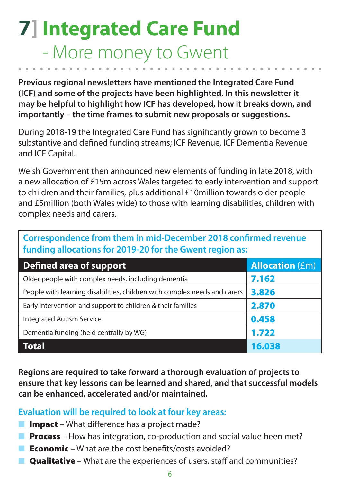#### **7] Integrated Care Fund** - More money to Gwent

**Previous regional newsletters have mentioned the Integrated Care Fund (ICF) and some of the projects have been highlighted. In this newsletter it may be helpful to highlight how ICF has developed, how it breaks down, and importantly – the time frames to submit new proposals or suggestions.**

During 2018-19 the Integrated Care Fund has significantly grown to become 3 substantive and defined funding streams; ICF Revenue, ICF Dementia Revenue and ICF Capital.

Welsh Government then announced new elements of funding in late 2018, with a new allocation of £15m across Wales targeted to early intervention and support to children and their families, plus additional £10million towards older people and £5million (both Wales wide) to those with learning disabilities, children with complex needs and carers.

#### **Correspondence from them in mid-December 2018 confirmed revenue funding allocations for 2019-20 for the Gwent region as:**

| Defined area of support                                                   | <b>Allocation (Em)</b> |  |  |
|---------------------------------------------------------------------------|------------------------|--|--|
| Older people with complex needs, including dementia                       | 7.162                  |  |  |
| People with learning disabilities, children with complex needs and carers | 3.826                  |  |  |
| Early intervention and support to children & their families               | 2.870                  |  |  |
| <b>Integrated Autism Service</b>                                          | 0.458                  |  |  |
| Dementia funding (held centrally by WG)                                   | 1.722                  |  |  |
| <b>Total</b>                                                              | 16.038                 |  |  |

**Regions are required to take forward a thorough evaluation of projects to ensure that key lessons can be learned and shared, and that successful models can be enhanced, accelerated and/or maintained.**

#### **Evaluation will be required to look at four key areas:**

- **Impact** What difference has a project made?
- **Process** How has integration, co-production and social value been met?
- **Economic** What are the cost benefits/costs avoided?
- **Qualitative** What are the experiences of users, staff and communities?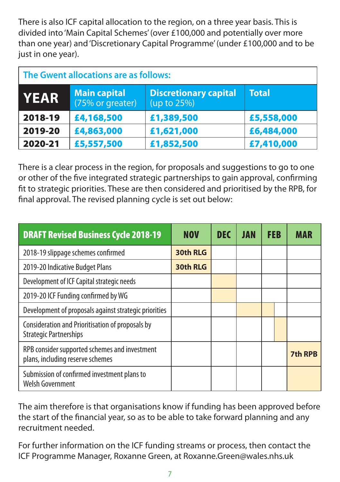There is also ICF capital allocation to the region, on a three year basis. This is divided into 'Main Capital Schemes' (over £100,000 and potentially over more than one year) and 'Discretionary Capital Programme' (under £100,000 and to be just in one year).

| The Gwent allocations are as follows: |                                         |                                             |              |  |  |  |
|---------------------------------------|-----------------------------------------|---------------------------------------------|--------------|--|--|--|
| <b>YEAR</b>                           | <b>Main capital</b><br>(75% or greater) | <b>Discretionary capital</b><br>(up to 25%) | <b>Total</b> |  |  |  |
| 2018-19                               | £4,168,500                              | £1,389,500                                  | £5,558,000   |  |  |  |
| 2019-20                               | £4,863,000                              | £1,621,000                                  | £6,484,000   |  |  |  |
| 2020-21                               | £5,557,500                              | £1,852,500                                  | £7,410,000   |  |  |  |

There is a clear process in the region, for proposals and suggestions to go to one or other of the five integrated strategic partnerships to gain approval, confirming t to strategic priorities. These are then considered and prioritised by the RPB, for final approval. The revised planning cycle is set out below:

| <b>DRAFT Revised Business Cycle 2018-19</b>                                       | <b>NOV</b> | <b>DEC</b> | <b>JAN</b> | <b>FEB</b> | MAR            |
|-----------------------------------------------------------------------------------|------------|------------|------------|------------|----------------|
| 2018-19 slippage schemes confirmed                                                | 30th RLG   |            |            |            |                |
| 2019-20 Indicative Budget Plans                                                   | 30th RLG   |            |            |            |                |
| Development of ICF Capital strategic needs                                        |            |            |            |            |                |
| 2019-20 ICF Funding confirmed by WG                                               |            |            |            |            |                |
| Development of proposals against strategic priorities                             |            |            |            |            |                |
| Consideration and Prioritisation of proposals by<br><b>Strategic Partnerships</b> |            |            |            |            |                |
| RPB consider supported schemes and investment<br>plans, including reserve schemes |            |            |            |            | <b>7th RPB</b> |
| Submission of confirmed investment plans to<br>Welsh Government                   |            |            |            |            |                |

The aim therefore is that organisations know if funding has been approved before the start of the financial year, so as to be able to take forward planning and any recruitment needed.

For further information on the ICF funding streams or process, then contact the ICF Programme Manager, Roxanne Green, at Roxanne.Green@wales.nhs.uk